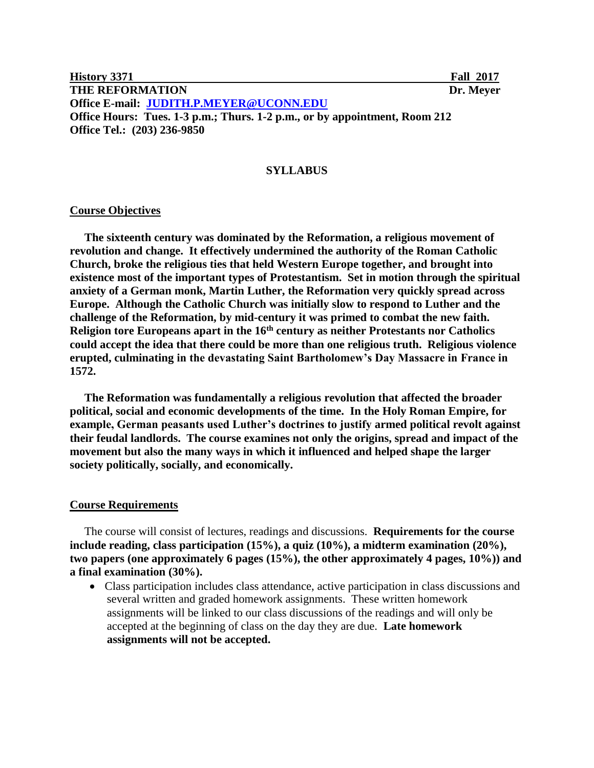**History 3371 Fall 2017 THE REFORMATION** Dr. Meyer **Office E-mail: [JUDITH.P.MEYER@UCONN.EDU](mailto:JUDITH.P.MEYER@UCONN.EDU) Office Hours: Tues. 1-3 p.m.; Thurs. 1-2 p.m., or by appointment, Room 212 Office Tel.: (203) 236-9850** 

#### **SYLLABUS**

#### **Course Objectives**

 **The sixteenth century was dominated by the Reformation, a religious movement of revolution and change. It effectively undermined the authority of the Roman Catholic Church, broke the religious ties that held Western Europe together, and brought into existence most of the important types of Protestantism. Set in motion through the spiritual anxiety of a German monk, Martin Luther, the Reformation very quickly spread across Europe. Although the Catholic Church was initially slow to respond to Luther and the challenge of the Reformation, by mid-century it was primed to combat the new faith. Religion tore Europeans apart in the 16th century as neither Protestants nor Catholics could accept the idea that there could be more than one religious truth. Religious violence erupted, culminating in the devastating Saint Bartholomew's Day Massacre in France in 1572.** 

 **The Reformation was fundamentally a religious revolution that affected the broader political, social and economic developments of the time. In the Holy Roman Empire, for example, German peasants used Luther's doctrines to justify armed political revolt against their feudal landlords. The course examines not only the origins, spread and impact of the movement but also the many ways in which it influenced and helped shape the larger society politically, socially, and economically.** 

#### **Course Requirements**

 The course will consist of lectures, readings and discussions. **Requirements for the course include reading, class participation (15%), a quiz (10%), a midterm examination (20%), two papers (one approximately 6 pages (15%), the other approximately 4 pages, 10%)) and a final examination (30%).**

 Class participation includes class attendance, active participation in class discussions and several written and graded homework assignments. These written homework assignments will be linked to our class discussions of the readings and will only be accepted at the beginning of class on the day they are due. **Late homework assignments will not be accepted.**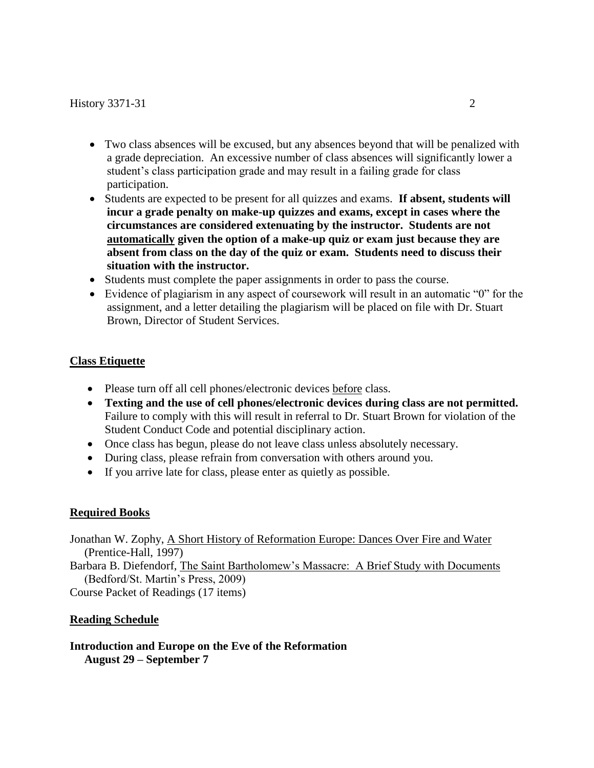- Two class absences will be excused, but any absences beyond that will be penalized with a grade depreciation. An excessive number of class absences will significantly lower a student's class participation grade and may result in a failing grade for class participation.
- Students are expected to be present for all quizzes and exams. **If absent, students will incur a grade penalty on make-up quizzes and exams, except in cases where the circumstances are considered extenuating by the instructor. Students are not automatically given the option of a make-up quiz or exam just because they are absent from class on the day of the quiz or exam. Students need to discuss their situation with the instructor.**
- Students must complete the paper assignments in order to pass the course.
- Evidence of plagiarism in any aspect of coursework will result in an automatic "0" for the assignment, and a letter detailing the plagiarism will be placed on file with Dr. Stuart Brown, Director of Student Services.

# **Class Etiquette**

- Please turn off all cell phones/electronic devices before class.
- **Texting and the use of cell phones/electronic devices during class are not permitted.**  Failure to comply with this will result in referral to Dr. Stuart Brown for violation of the Student Conduct Code and potential disciplinary action.
- Once class has begun, please do not leave class unless absolutely necessary.
- During class, please refrain from conversation with others around you.
- If you arrive late for class, please enter as quietly as possible.

## **Required Books**

Jonathan W. Zophy, A Short History of Reformation Europe: Dances Over Fire and Water (Prentice-Hall, 1997) Barbara B. Diefendorf, The Saint Bartholomew's Massacre: A Brief Study with Documents (Bedford/St. Martin's Press, 2009)

Course Packet of Readings (17 items)

## **Reading Schedule**

**Introduction and Europe on the Eve of the Reformation August 29 – September 7**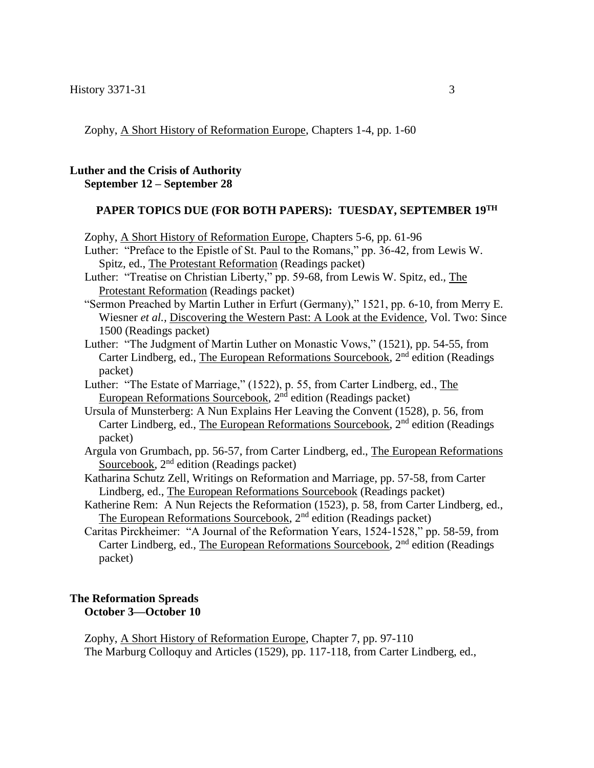Zophy, A Short History of Reformation Europe, Chapters 1-4, pp. 1-60

#### **Luther and the Crisis of Authority September 12 – September 28**

#### **PAPER TOPICS DUE (FOR BOTH PAPERS): TUESDAY, SEPTEMBER 19TH**

Zophy, A Short History of Reformation Europe, Chapters 5-6, pp. 61-96

 Luther: "Preface to the Epistle of St. Paul to the Romans," pp. 36-42, from Lewis W. Spitz, ed., The Protestant Reformation (Readings packet)

 Luther: "Treatise on Christian Liberty," pp. 59-68, from Lewis W. Spitz, ed., The Protestant Reformation (Readings packet)

- "Sermon Preached by Martin Luther in Erfurt (Germany)," 1521, pp. 6-10, from Merry E. Wiesner *et al.,* Discovering the Western Past: A Look at the Evidence, Vol. Two: Since 1500 (Readings packet)
- Luther: "The Judgment of Martin Luther on Monastic Vows," (1521), pp. 54-55, from Carter Lindberg, ed., The European Reformations Sourcebook,  $2<sup>nd</sup>$  edition (Readings packet)
- Luther: "The Estate of Marriage," (1522), p. 55, from Carter Lindberg, ed., The European Reformations Sourcebook, 2<sup>nd</sup> edition (Readings packet)
- Ursula of Munsterberg: A Nun Explains Her Leaving the Convent (1528), p. 56, from Carter Lindberg, ed., The European Reformations Sourcebook,  $2<sup>nd</sup>$  edition (Readings packet)
- Argula von Grumbach, pp. 56-57, from Carter Lindberg, ed., The European Reformations Sourcebook,  $2<sup>nd</sup>$  edition (Readings packet)
- Katharina Schutz Zell, Writings on Reformation and Marriage, pp. 57-58, from Carter Lindberg, ed., The European Reformations Sourcebook (Readings packet)
- Katherine Rem: A Nun Rejects the Reformation (1523), p. 58, from Carter Lindberg, ed., The European Reformations Sourcebook, 2<sup>nd</sup> edition (Readings packet)
- Caritas Pirckheimer: "A Journal of the Reformation Years, 1524-1528," pp. 58-59, from Carter Lindberg, ed., The European Reformations Sourcebook,  $2<sup>nd</sup>$  edition (Readings packet)

#### **The Reformation Spreads October 3—October 10**

 Zophy, A Short History of Reformation Europe, Chapter 7, pp. 97-110 The Marburg Colloquy and Articles (1529), pp. 117-118, from Carter Lindberg, ed.,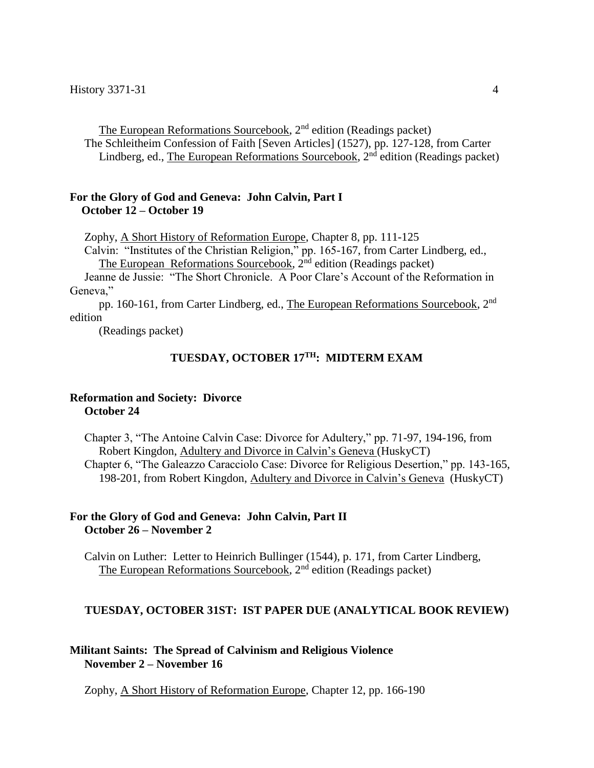The European Reformations Sourcebook, 2<sup>nd</sup> edition (Readings packet) The Schleitheim Confession of Faith [Seven Articles] (1527), pp. 127-128, from Carter Lindberg, ed., The European Reformations Sourcebook,  $2<sup>nd</sup>$  edition (Readings packet)

### **For the Glory of God and Geneva: John Calvin, Part I October 12 – October 19**

Zophy, A Short History of Reformation Europe, Chapter 8, pp. 111-125

 Calvin: "Institutes of the Christian Religion," pp. 165-167, from Carter Lindberg, ed., The European Reformations Sourcebook,  $2<sup>nd</sup>$  edition (Readings packet)

 Jeanne de Jussie: "The Short Chronicle. A Poor Clare's Account of the Reformation in Geneva,"

 pp. 160-161, from Carter Lindberg, ed., The European Reformations Sourcebook, 2nd edition

(Readings packet)

#### $TUESDAY,$   $OCTOBER 17<sup>TH</sup>$ : MIDTERM EXAM

#### **Reformation and Society: Divorce October 24**

Chapter 3, "The Antoine Calvin Case: Divorce for Adultery," pp. 71-97, 194-196, from Robert Kingdon, Adultery and Divorce in Calvin's Geneva (HuskyCT) Chapter 6, "The Galeazzo Caracciolo Case: Divorce for Religious Desertion," pp. 143-165, 198-201, from Robert Kingdon, Adultery and Divorce in Calvin's Geneva (HuskyCT)

## **For the Glory of God and Geneva: John Calvin, Part II October 26 – November 2**

Calvin on Luther: Letter to Heinrich Bullinger (1544), p. 171, from Carter Lindberg, The European Reformations Sourcebook, 2<sup>nd</sup> edition (Readings packet)

#### **TUESDAY, OCTOBER 31ST: IST PAPER DUE (ANALYTICAL BOOK REVIEW)**

#### **Militant Saints: The Spread of Calvinism and Religious Violence November 2 – November 16**

Zophy, A Short History of Reformation Europe, Chapter 12, pp. 166-190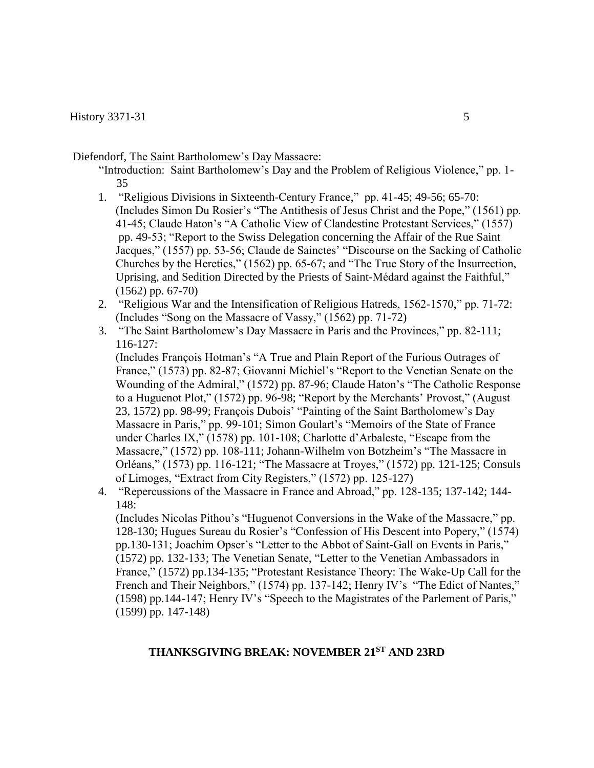Diefendorf, The Saint Bartholomew's Day Massacre:

 "Introduction: Saint Bartholomew's Day and the Problem of Religious Violence," pp. 1- 35

- 1. "Religious Divisions in Sixteenth-Century France," pp. 41-45; 49-56; 65-70: (Includes Simon Du Rosier's "The Antithesis of Jesus Christ and the Pope," (1561) pp. 41-45; Claude Haton's "A Catholic View of Clandestine Protestant Services," (1557) pp. 49-53; "Report to the Swiss Delegation concerning the Affair of the Rue Saint Jacques," (1557) pp. 53-56; Claude de Sainctes' "Discourse on the Sacking of Catholic Churches by the Heretics," (1562) pp. 65-67; and "The True Story of the Insurrection, Uprising, and Sedition Directed by the Priests of Saint-Médard against the Faithful," (1562) pp. 67-70)
- 2. "Religious War and the Intensification of Religious Hatreds, 1562-1570," pp. 71-72: (Includes "Song on the Massacre of Vassy," (1562) pp. 71-72)
- 3. "The Saint Bartholomew's Day Massacre in Paris and the Provinces," pp. 82-111; 116-127:

(Includes François Hotman's "A True and Plain Report of the Furious Outrages of France," (1573) pp. 82-87; Giovanni Michiel's "Report to the Venetian Senate on the Wounding of the Admiral," (1572) pp. 87-96; Claude Haton's "The Catholic Response to a Huguenot Plot," (1572) pp. 96-98; "Report by the Merchants' Provost," (August 23, 1572) pp. 98-99; François Dubois' "Painting of the Saint Bartholomew's Day Massacre in Paris," pp. 99-101; Simon Goulart's "Memoirs of the State of France under Charles IX," (1578) pp. 101-108; Charlotte d'Arbaleste, "Escape from the Massacre," (1572) pp. 108-111; Johann-Wilhelm von Botzheim's "The Massacre in Orléans," (1573) pp. 116-121; "The Massacre at Troyes," (1572) pp. 121-125; Consuls of Limoges, "Extract from City Registers," (1572) pp. 125-127)

4. "Repercussions of the Massacre in France and Abroad," pp. 128-135; 137-142; 144-  $148:$ 

(Includes Nicolas Pithou's "Huguenot Conversions in the Wake of the Massacre," pp. 128-130; Hugues Sureau du Rosier's "Confession of His Descent into Popery," (1574) pp.130-131; Joachim Opser's "Letter to the Abbot of Saint-Gall on Events in Paris," (1572) pp. 132-133; The Venetian Senate, "Letter to the Venetian Ambassadors in France," (1572) pp.134-135; "Protestant Resistance Theory: The Wake-Up Call for the French and Their Neighbors," (1574) pp. 137-142; Henry IV's "The Edict of Nantes," (1598) pp.144-147; Henry IV's "Speech to the Magistrates of the Parlement of Paris," (1599) pp. 147-148)

### **THANKSGIVING BREAK: NOVEMBER 21 ST AND 23RD**